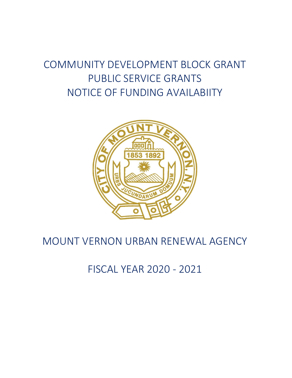# COMMUNITY DEVELOPMENT BLOCK GRANT PUBLIC SERVICE GRANTS NOTICE OF FUNDING AVAILABIITY



# MOUNT VERNON URBAN RENEWAL AGENCY

# FISCAL YEAR 2020 - 2021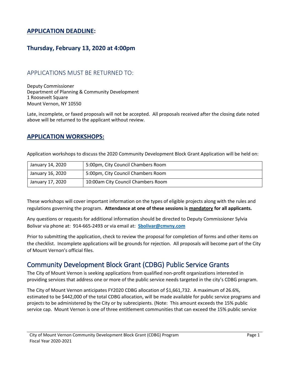#### **APPLICATION DEADLINE:**

#### **Thursday, February 13, 2020 at 4:00pm**

#### APPLICATIONS MUST BE RETURNED TO:

Deputy Commissioner Department of Planning & Community Development 1 Roosevelt Square Mount Vernon, NY 10550

Late, incomplete, or faxed proposals will not be accepted. All proposals received after the closing date noted above will be returned to the applicant without review.

#### **APPLICATION WORKSHOPS:**

Application workshops to discuss the 2020 Community Development Block Grant Application will be held on:

| January 14, 2020 | 5:00pm, City Council Chambers Room |
|------------------|------------------------------------|
| January 16, 2020 | 5:00pm, City Council Chambers Room |
| January 17, 2020 | 10:00am City Council Chambers Room |

These workshops will cover important information on the types of eligible projects along with the rules and regulations governing the program. **Attendance at one of these sessions is mandatory for all applicants.** 

Any questions or requests for additional information should be directed to Deputy Commissioner Sylvia Bolivar via phone at: 914-665-2493 or via email at: **[Sbolivar@cmvny.com](mailto:Sbolivar@cmvny.com)**

Prior to submitting the application, check to review the proposal for completion of forms and other items on the checklist. Incomplete applications will be grounds for rejection. All proposals will become part of the City of Mount Vernon's official files.

#### Community Development Block Grant (CDBG) Public Service Grants

The City of Mount Vernon is seeking applications from qualified non-profit organizations interested in providing services that address one or more of the public service needs targeted in the city's CDBG program.

The City of Mount Vernon anticipates FY2020 CDBG allocation of \$1,661,732. A maximum of 26.6%, estimated to be \$442,000 of the total CDBG allocation, will be made available for public service programs and projects to be administered by the City or by subrecipients. (Note: This amount exceeds the 15% public service cap. Mount Vernon is one of three entitlement communities that can exceed the 15% public service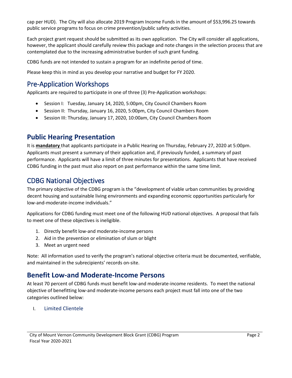cap per HUD). The City will also allocate 2019 Program Income Funds in the amount of \$53,996.25 towards public service programs to focus on crime prevention/public safety activities.

Each project grant request should be submitted as its own application. The City will consider all applications, however, the applicant should carefully review this package and note changes in the selection process that are contemplated due to the increasing administrative burden of such grant funding.

CDBG funds are not intended to sustain a program for an indefinite period of time.

Please keep this in mind as you develop your narrative and budget for FY 2020.

#### Pre-Application Workshops

Applicants are required to participate in one of three (3) Pre-Application workshops:

- Session I: Tuesday, January 14, 2020, 5:00pm, City Council Chambers Room
- Session II: Thursday, January 16, 2020, 5:00pm, City Council Chambers Room
- Session III: Thursday, January 17, 2020, 10:00am, City Council Chambers Room

#### **Public Hearing Presentation**

It is **mandatory** that applicants participate in a Public Hearing on Thursday, February 27, 2020 at 5:00pm. Applicants must present a summary of their application and, if previously funded, a summary of past performance. Applicants will have a limit of three minutes for presentations. Applicants that have received CDBG funding in the past must also report on past performance within the same time limit.

#### CDBG National Objectives

The primary objective of the CDBG program is the "development of viable urban communities by providing decent housing and sustainable living environments and expanding economic opportunities particularly for low-and-moderate-income individuals."

Applications for CDBG funding must meet one of the following HUD national objectives. A proposal that fails to meet one of these objectives is ineligible.

- 1. Directly benefit low-and moderate-income persons
- 2. Aid in the prevention or elimination of slum or blight
- 3. Meet an urgent need

Note: All information used to verify the program's national objective criteria must be documented, verifiable, and maintained in the subrecipients' records on-site.

#### **Benefit Low-and Moderate-Income Persons**

At least 70 percent of CDBG funds must benefit low-and moderate-income residents. To meet the national objective of benefitting low-and moderate-income persons each project must fall into one of the two categories outlined below:

I. Limited Clientele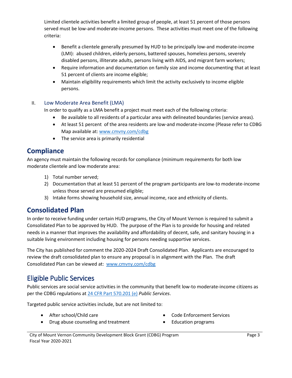Limited clientele activities benefit a limited group of people, at least 51 percent of those persons served must be low-and moderate-income persons. These activities must meet one of the following criteria:

- Benefit a clientele generally presumed by HUD to be principally low-and moderate-income (LMI): abused children, elderly persons, battered spouses, homeless persons, severely disabled persons, illiterate adults, persons living with AIDS, and migrant farm workers;
- Require information and documentation on family size and income documenting that at least 51 percent of clients are income eligible;
- Maintain eligibility requirements which limit the activity exclusively to income eligible persons.

#### II. Low Moderate Area Benefit (LMA)

In order to qualify as a LMA benefit a project must meet each of the following criteria:

- Be available to all residents of a particular area with delineated boundaries (service areas).
- At least 51 percent of the area residents are low-and moderate-income (Please refer to CDBG Map available at: [www.cmvny.com/cdbg](http://www.cmvny.com/cdbg)
- The service area is primarily residential

#### **Compliance**

An agency must maintain the following records for compliance (minimum requirements for both low moderate clientele and low moderate area:

- 1) Total number served;
- 2) Documentation that at least 51 percent of the program participants are low-to moderate-income unless those served are presumed eligible;
- 3) Intake forms showing household size, annual income, race and ethnicity of clients.

#### **Consolidated Plan**

In order to receive funding under certain HUD programs, the City of Mount Vernon is required to submit a Consolidated Plan to be approved by HUD. The purpose of the Plan is to provide for housing and related needs in a manner that improves the availability and affordability of decent, safe, and sanitary housing in a suitable living environment including housing for persons needing supportive services.

The City has published for comment the 2020-2024 Draft Consolidated Plan. Applicants are encouraged to review the draft consolidated plan to ensure any proposal is in alignment with the Plan. The draft Consolidated Plan can be viewed at: [www.cmvny.com/cdbg](http://www.cmvny.com/cdbg)

### Eligible Public Services

Public services are social service activities in the community that benefit low-to moderate-income citizens as per the CDBG regulations at [24 CFR Part 570.201 \(e\)](https://www.law.cornell.edu/cfr/text/24/570.201) *Public Services*.

Targeted public service activities include, but are not limited to:

- 
- After school/Child care  **Code Enforcement Services** Code Enforcement Services
- Drug abuse counseling and treatment Education programs
-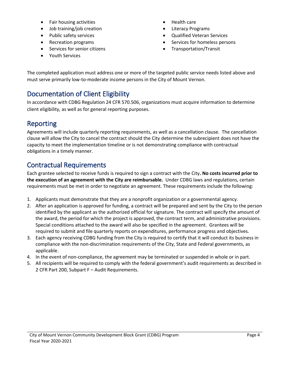- Fair housing activities Health care
- Job training/job creation **•** Literacy Programs
- 
- 
- Services for senior citizens **•** Transportation/Transit
- Youth Services
- 
- 
- Public safety services Cualified Veteran Services Cualified Veteran Services
- Recreation programs **•** Services for homeless persons
	-

The completed application must address one or more of the targeted public service needs listed above and must serve primarily low-to-moderate income persons in the City of Mount Vernon.

# Documentation of Client Eligibility

In accordance with CDBG Regulation 24 CFR 570.506, organizations must acquire information to determine client eligibility, as well as for general reporting purposes.

# Reporting

Agreements will include quarterly reporting requirements, as well as a cancellation clause. The cancellation clause will allow the City to cancel the contract should the City determine the subrecipient does not have the capacity to meet the implementation timeline or is not demonstrating compliance with contractual obligations in a timely manner.

# Contractual Requirements

Each grantee selected to receive funds is required to sign a contract with the City**. No costs incurred prior to the execution of an agreement with the City are reimbursable.** Under CDBG laws and regulations, certain requirements must be met in order to negotiate an agreement. These requirements include the following:

- 1. Applicants must demonstrate that they are a nonprofit organization or a governmental agency.
- 2. After an application is approved for funding, a contract will be prepared and sent by the City to the person identified by the applicant as the authorized official for signature. The contract will specify the amount of the award, the period for which the project is approved, the contract term, and administrative provisions. Special conditions attached to the award will also be specified in the agreement. Grantees will be required to submit and file quarterly reports on expenditures, performance progress and objectives.
- 3. Each agency receiving CDBG funding from the City is required to certify that it will conduct its business in compliance with the non-discrimination requirements of the City, State and Federal governments, as applicable.
- 4. In the event of non-compliance, the agreement may be terminated or suspended in whole or in part.
- 5. All recipients will be required to comply with the federal government's audit requirements as described in 2 CFR Part 200, Subpart F – Audit Requirements.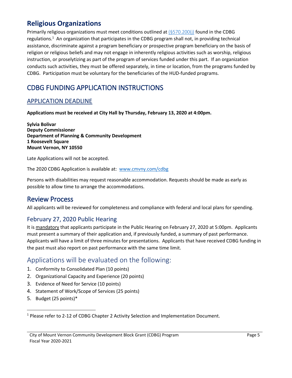#### **Religious Organizations**

Primarily religious organizations must meet conditions outlined at [\(§570.200\(j\)](https://www.hud.gov/sites/documents/DOC_16471.PDF) found in the CDBG regulations.<sup>1</sup> An organization that participates in the CDBG program shall not, in providing technical assistance, discriminate against a program beneficiary or prospective program beneficiary on the basis of religion or religious beliefs and may not engage in inherently religious activities such as worship, religious instruction, or proselytizing as part of the program of services funded under this part. If an organization conducts such activities, they must be offered separately, in time or location, from the programs funded by CDBG. Participation must be voluntary for the beneficiaries of the HUD-funded programs.

### CDBG FUNDING APPLICATION INSTRUCTIONS

#### APPLICATION DEADLINE

**Applications must be received at City Hall by Thursday, February 13, 2020 at 4:00pm.**

**Sylvia Bolivar Deputy Commissioner Department of Planning & Community Development 1 Roosevelt Square Mount Vernon, NY 10550**

Late Applications will not be accepted.

The 2020 CDBG Application is available at: [www.cmvny.com/cdbg](http://www.cmvny.com/cdbg)

Persons with disabilities may request reasonable accommodation. Requests should be made as early as possible to allow time to arrange the accommodations.

#### Review Process

All applicants will be reviewed for completeness and compliance with federal and local plans for spending.

#### February 27, 2020 Public Hearing

It is mandatory that applicants participate in the Public Hearing on February 27, 2020 at 5:00pm. Applicants must present a summary of their application and, if previously funded, a summary of past performance. Applicants will have a limit of three minutes for presentations. Applicants that have received CDBG funding in the past must also report on past performance with the same time limit.

#### Applications will be evaluated on the following:

- 1. Conformity to Consolidated Plan (10 points)
- 2. Organizational Capacity and Experience (20 points)
- 3. Evidence of Need for Service (10 points)
- 4. Statement of Work/Scope of Services (25 points)
- 5. Budget (25 points)\*

 $\overline{\phantom{a}}$ 

 $1$  Please refer to 2-12 of CDBG Chapter 2 Activity Selection and Implementation Document.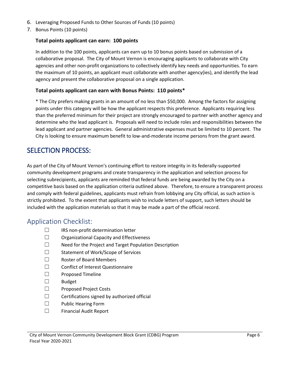- 6. Leveraging Proposed Funds to Other Sources of Funds (10 points)
- 7. Bonus Points (10 points)

#### **Total points applicant can earn: 100 points**

In addition to the 100 points, applicants can earn up to 10 bonus points based on submission of a collaborative proposal.The City of Mount Vernon is encouraging applicants to collaborate with City agencies and other non-profit organizations to collectively identify key needs and opportunities. To earn the maximum of 10 points, an applicant must collaborate with another agency(ies), and identify the lead agency and present the collaborative proposal on a single application.

#### **Total points applicant can earn with Bonus Points: 110 points\***

\* The City prefers making grants in an amount of no less than \$50,000. Among the factors for assigning points under this category will be how the applicant respects this preference. Applicants requiring less than the preferred minimum for their project are strongly encouraged to partner with another agency and determine who the lead applicant is. Proposals will need to include roles and responsibilities between the lead applicant and partner agencies. General administrative expenses must be limited to 10 percent. The City is looking to ensure maximum benefit to low-and-moderate income persons from the grant award.

#### SELECTION PROCESS:

As part of the City of Mount Vernon's continuing effort to restore integrity in its federally-supported community development programs and create transparency in the application and selection process for selecting subrecipients, applicants are reminded that federal funds are being awarded by the City on a competitive basis based on the application criteria outlined above. Therefore, to ensure a transparent process and comply with federal guidelines, applicants must refrain from lobbying any City official, as such action is strictly prohibited. To the extent that applicants wish to include letters of support, such letters should be included with the application materials so that it may be made a part of the official record.

#### Application Checklist:

- ☐ IRS non-profit determination letter
- ☐ Organizational Capacity and Effectiveness
- ☐ Need for the Project and Target Population Description
- ☐ Statement of Work/Scope of Services
- ☐ Roster of Board Members
- ☐ Conflict of Interest Questionnaire
- ☐ Proposed Timeline
- ☐ Budget
- ☐ Proposed Project Costs
- $\Box$  Certifications signed by authorized official
- ☐ Public Hearing Form
- ☐ Financial Audit Report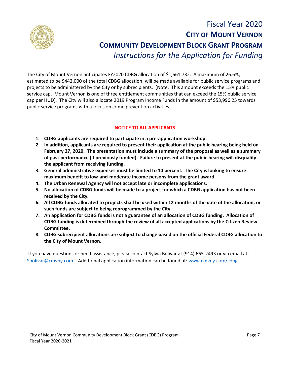

# Fiscal Year 2020 **CITY OF MOUNT VERNON COMMUNITY DEVELOPMENT BLOCK GRANT PROGRAM** *Instructions for the Application for Funding*

The City of Mount Vernon anticipates FY2020 CDBG allocation of \$1,661,732. A maximum of 26.6%, estimated to be \$442,000 of the total CDBG allocation, will be made available for public service programs and projects to be administered by the City or by subrecipients. (Note: This amount exceeds the 15% public service cap. Mount Vernon is one of three entitlement communities that can exceed the 15% public service cap per HUD). The City will also allocate 2019 Program Income Funds in the amount of \$53,996.25 towards public service programs with a focus on crime prevention activities.

#### **NOTICE TO ALL APPLICANTS**

- **1. CDBG applicants are required to participate in a pre-application workshop.**
- **2. In addition, applicants are required to present their application at the public hearing being held on February 27, 2020. The presentation must include a summary of the proposal as well as a summary of past performance (if previously funded). Failure to present at the public hearing will disqualify the applicant from receiving funding.**
- **3. General administrative expenses must be limited to 10 percent. The City is looking to ensure maximum benefit to low-and-moderate income persons from the grant award.**
- **4. The Urban Renewal Agency will not accept late or incomplete applications.**
- **5. No allocation of CDBG funds will be made to a project for which a CDBG application has not been received by the City.**
- **6. All CDBG funds allocated to projects shall be used within 12 months of the date of the allocation, or such funds are subject to being reprogrammed by the City.**
- **7. An application for CDBG funds is not a guarantee of an allocation of CDBG funding. Allocation of CDBG funding is determined through the review of all accepted applications by the Citizen Review Committee.**
- **8. CDBG subrecipient allocations are subject to change based on the official Federal CDBG allocation to the City of Mount Vernon.**

If you have questions or need assistance, please contact Sylvia Bolivar at (914) 665-2493 or via email at: [Sbolivar@cmvny.com](mailto:Sbolivar@cmvny.com) . Additional application information can be found at: [www.cmvny.com/cdbg](http://www.cmvny.com/cdbg)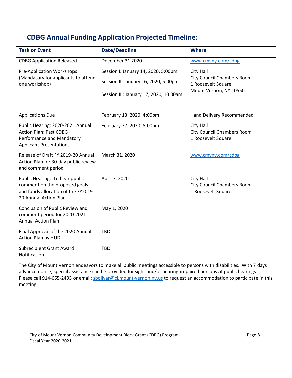# **CDBG Annual Funding Application Projected Timeline:**

| <b>Task or Event</b>                                                                                                                                                                                                                                                                                                                                                        | <b>Date/Deadline</b>                                                                                                  | <b>Where</b>                                                                                   |  |  |  |
|-----------------------------------------------------------------------------------------------------------------------------------------------------------------------------------------------------------------------------------------------------------------------------------------------------------------------------------------------------------------------------|-----------------------------------------------------------------------------------------------------------------------|------------------------------------------------------------------------------------------------|--|--|--|
| <b>CDBG Application Released</b>                                                                                                                                                                                                                                                                                                                                            | December 31 2020                                                                                                      | www.cmvny.com/cdbg                                                                             |  |  |  |
| <b>Pre-Application Workshops</b><br>(Mandatory for applicants to attend<br>one workshop)                                                                                                                                                                                                                                                                                    | Session I: January 14, 2020, 5:00pm<br>Session II: January 16, 2020, 5:00pm<br>Session III: January 17, 2020, 10:00am | City Hall<br><b>City Council Chambers Room</b><br>1 Roosevelt Square<br>Mount Vernon, NY 10550 |  |  |  |
| <b>Applications Due</b>                                                                                                                                                                                                                                                                                                                                                     | February 13, 2020, 4:00pm                                                                                             | Hand Delivery Recommended                                                                      |  |  |  |
| Public Hearing: 2020-2021 Annual<br>Action Plan; Past CDBG<br>Performance and Mandatory<br><b>Applicant Presentations</b>                                                                                                                                                                                                                                                   | February 27, 2020, 5:00pm                                                                                             | City Hall<br><b>City Council Chambers Room</b><br>1 Roosevelt Square                           |  |  |  |
| Release of Draft FY 2019-20 Annual<br>Action Plan for 30-day public review<br>and comment period                                                                                                                                                                                                                                                                            | March 31, 2020                                                                                                        | www.cmvny.com/cdbg                                                                             |  |  |  |
| Public Hearing: To hear public<br>comment on the proposed goals<br>and funds allocation of the FY2019-<br>20 Annual Action Plan                                                                                                                                                                                                                                             | April 7, 2020                                                                                                         | City Hall<br><b>City Council Chambers Room</b><br>1 Roosevelt Square                           |  |  |  |
| Conclusion of Public Review and<br>comment period for 2020-2021<br><b>Annual Action Plan</b>                                                                                                                                                                                                                                                                                | May 1, 2020                                                                                                           |                                                                                                |  |  |  |
| Final Approval of the 2020 Annual<br>Action Plan by HUD                                                                                                                                                                                                                                                                                                                     | <b>TBD</b>                                                                                                            |                                                                                                |  |  |  |
| <b>Subrecipient Grant Award</b><br>Notification                                                                                                                                                                                                                                                                                                                             | <b>TBD</b>                                                                                                            |                                                                                                |  |  |  |
| The City of Mount Vernon endeavors to make all public meetings accessible to persons with disabilities. With 7 days<br>advance notice, special assistance can be provided for sight and/or hearing-impaired persons at public hearings.<br>Please call 914-665-2493 or email: sbolivar@ci.mount-vernon.ny.us to request an accommodation to participate in this<br>meeting. |                                                                                                                       |                                                                                                |  |  |  |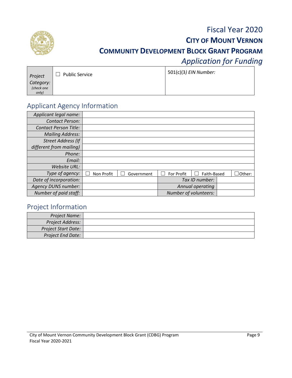

# Fiscal Year 2020 **CITY OF MOUNT VERNON COMMUNITY DEVELOPMENT BLOCK GRANT PROGRAM** *Application for Funding*

| Project    | <b>Public Service</b> | 501(c)(3) EIN Number: |
|------------|-----------------------|-----------------------|
| Category:  |                       |                       |
| (check one |                       |                       |
| only)      |                       |                       |

## Applicant Agency Information

| Applicant legal name:        |            |            |                       |                  |         |
|------------------------------|------------|------------|-----------------------|------------------|---------|
| <b>Contact Person:</b>       |            |            |                       |                  |         |
| <b>Contact Person Title:</b> |            |            |                       |                  |         |
| <b>Mailing Address:</b>      |            |            |                       |                  |         |
| <b>Street Address (If</b>    |            |            |                       |                  |         |
| different from mailing)      |            |            |                       |                  |         |
| Phone:                       |            |            |                       |                  |         |
| Email:                       |            |            |                       |                  |         |
| Website URL:                 |            |            |                       |                  |         |
| Type of agency:              | Non Profit | Government | For Profit            | Faith-Based      | JOther: |
| Date of incorporation:       |            |            |                       | Tax ID number:   |         |
| <b>Agency DUNS number:</b>   |            |            |                       | Annual operating |         |
| Number of paid staff:        |            |            | Number of volunteers: |                  |         |

### Project Information

| Project Name:              |  |
|----------------------------|--|
| Project Address:           |  |
| <b>Project Start Date:</b> |  |
| <b>Project End Date:</b>   |  |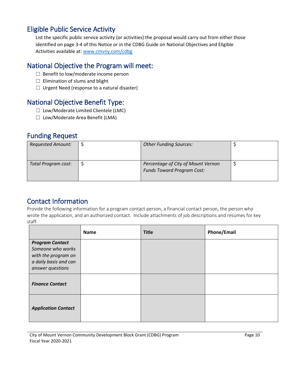### Eligible Public Service Activity

List the specific public service activity (or activities) the proposal would carry out from either those identified on page 3-4 of this Notice or in the CDBG Guide on National Objectives and Eligible Activities available at: [www.cmvny.com/cdbg](http://www.cmvny.com/cdbg)

### National Objective the Program will meet:

- ☐ Benefit to low/moderate income person
- $\Box$  Elimination of slums and blight
- $\Box$  Urgent Need (response to a natural disaster)

## National Objective Benefit Type:

- ☐ Low/Moderate Limited Clientele (LMC)
- ☐ Low/Moderate Area Benefit (LMA)

#### Funding Request

| <b>Requested Amount:</b> | <b>Other Funding Sources:</b>                                           |  |
|--------------------------|-------------------------------------------------------------------------|--|
| Total Program cost:      | Percentage of City of Mount Vernon<br><b>Funds Toward Program Cost:</b> |  |

### Contact Information

Provide the following information for a program contact person, a financial contact person, the person who wrote the application, and an authorized contact. Include attachments of job descriptions and resumes for key staff.

|                                                                                             | <b>Name</b> | <b>Title</b> | <b>Phone/Email</b> |
|---------------------------------------------------------------------------------------------|-------------|--------------|--------------------|
| <b>Program Contact</b><br>Someone who works<br>with the program on<br>a daily basis and can |             |              |                    |
| answer questions<br><b>Finance Contact</b>                                                  |             |              |                    |
| <b>Application Contact</b>                                                                  |             |              |                    |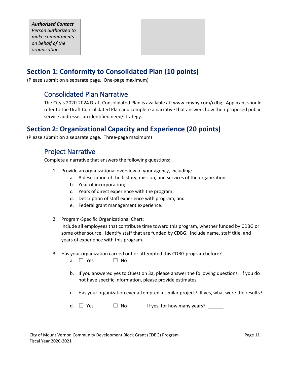| on behalf of the<br>organization |
|----------------------------------|

#### **Section 1: Conformity to Consolidated Plan (10 points)**

(Please submit on a separate page. One-page maximum)

#### Consolidated Plan Narrative

The City's 2020-2024 Draft Consolidated Plan is available at: [www.cmvny.com/cdbg.](http://www.cmvny.com/cdbg) Applicant should refer to the Draft Consolidated Plan and complete a narrative that answers how their proposed public service addresses an identified need/strategy.

#### **Section 2: Organizational Capacity and Experience (20 points)**

(Please submit on a separate page. Three-page maximum)

#### Project Narrative

Complete a narrative that answers the following questions:

- 1. Provide an organizational overview of your agency, including:
	- a. A description of the history, mission, and services of the organization;
	- b. Year of incorporation;
	- c. Years of direct experience with the program;
	- d. Description of staff experience with program; and
	- e. Federal grant management experience.
- 2. Program-Specific Organizational Chart:

Include all employees that contribute time toward this program, whether funded by CDBG or some other source. Identify staff that are funded by CDBG. Include name, staff title, and years of experience with this program.

- 3. Has your organization carried out or attempted this CDBG program before?
	- a. □ Yes □ No
	- b. If you answered yes to Question 3a, please answer the following questions. If you do not have specific information, please provide estimates.
	- c. Has your organization ever attempted a similar project? If yes, what were the results?
	- d.  $\Box$  Yes  $\Box$  No If yes, for how many years?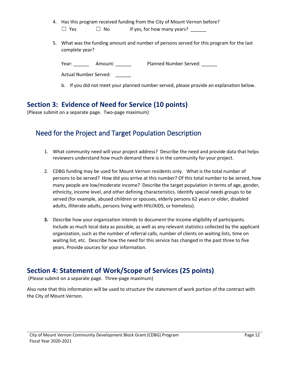- 4. Has this program received funding from the City of Mount Vernon before?  $\Box$  Yes  $\Box$  No If yes, for how many years?
- 5. What was the funding amount and number of persons served for this program for the last complete year?

Year: \_\_\_\_\_\_ Amount: \_\_\_\_\_\_\_ Planned Number Served: \_\_\_\_\_\_

Actual Number Served:

b. If you did not meet your planned number served, please provide an explanation below.

#### **Section 3: Evidence of Need for Service (10 points)**

(Please submit on a separate page. Two-page maximum)

### Need for the Project and Target Population Description

- 1. What community need will your project address? Describe the need and provide data that helps reviewers understand how much demand there is in the community for your project.
- 2. CDBG funding may be used for Mount Vernon residents only. What is the total number of persons to be served? How did you arrive at this number? Of this total number to be served, how many people are low/moderate income? Describe the target population in terms of age, gender, ethnicity, income level, and other defining characteristics. Identify special needs groups to be served (for example, abused children or spouses, elderly persons 62 years or older, disabled adults, illiterate adults, persons living with HIV/AIDS, or homeless).
- **3.** Describe how your organization intends to document the income eligibility of participants. Include as much local data as possible, as well as any relevant statistics collected by the applicant organization, such as the number of referral calls, number of clients on waiting lists, time on waiting list, etc. Describe how the need for this service has changed in the past three to five years. Provide sources for your information.

#### **Section 4: Statement of Work/Scope of Services (25 points)**

(Please submit on a separate page. Three-page maximum)

Also note that this information will be used to structure the statement of work portion of the contract with the City of Mount Vernon.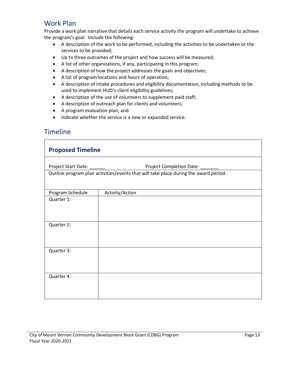#### Work Plan

Provide a work plan narrative that details each service activity the program will undertake to achieve the program's goal. Include the following:

- A description of the work to be performed, including the activities to be undertaken or the services to be provided;
- Up to three outcomes of the project and how success will be measured;
- A list of other organizations, if any, participating in this program;
- A description of how the project addresses the goals and objectives;
- A list of program locations and hours of operation;
- A description of intake procedures and eligibility documentation, including methods to be used to implement HUD's client eligibility guidelines;
- A description of the use of volunteers to supplement paid staff;
- A description of outreach plan for clients and volunteers;
- A program evaluation plan; and
- Indicate whether the service is a new or expanded service.

#### Timeline

| <b>Proposed Timeline</b> |                                                                                      |  |  |  |  |
|--------------------------|--------------------------------------------------------------------------------------|--|--|--|--|
|                          | Project Completion Date: ___                                                         |  |  |  |  |
|                          | Outline program plan activities/events that will take place during the award period. |  |  |  |  |
| Program Schedule         | Activity/Action                                                                      |  |  |  |  |
| Quarter 1:               |                                                                                      |  |  |  |  |
| Quarter 2:               |                                                                                      |  |  |  |  |
| Quarter 3:               |                                                                                      |  |  |  |  |
| Quarter 4:               |                                                                                      |  |  |  |  |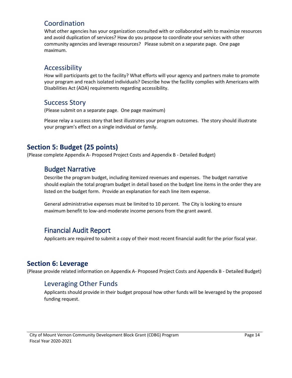#### Coordination

What other agencies has your organization consulted with or collaborated with to maximize resources and avoid duplication of services? How do you propose to coordinate your services with other community agencies and leverage resources? Please submit on a separate page. One page maximum.

#### Accessibility

How will participants get to the facility? What efforts will your agency and partners make to promote your program and reach isolated individuals? Describe how the facility complies with Americans with Disabilities Act (ADA) requirements regarding accessibility.

#### Success Story

(Please submit on a separate page. One page maximum)

Please relay a success story that best illustrates your program outcomes. The story should illustrate your program's effect on a single individual or family.

### **Section 5: Budget (25 points)**

(Please complete Appendix A- Proposed Project Costs and Appendix B - Detailed Budget)

### Budget Narrative

Describe the program budget, including itemized revenues and expenses. The budget narrative should explain the total program budget in detail based on the budget line items in the order they are listed on the budget form. Provide an explanation for each line item expense.

General administrative expenses must be limited to 10 percent. The City is looking to ensure maximum benefit to low-and-moderate income persons from the grant award.

### Financial Audit Report

Applicants are required to submit a copy of their most recent financial audit for the prior fiscal year.

### **Section 6: Leverage**

(Please provide related information on Appendix A- Proposed Project Costs and Appendix B - Detailed Budget)

### Leveraging Other Funds

Applicants should provide in their budget proposal how other funds will be leveraged by the proposed funding request.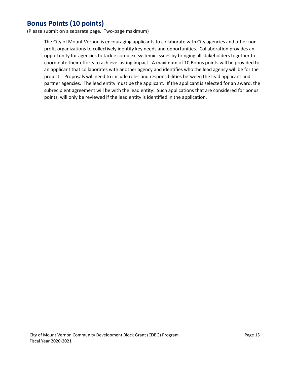#### **Bonus Points (10 points)**

(Please submit on a separate page. Two-page maximum)

The City of Mount Vernon is encouraging applicants to collaborate with City agencies and other nonprofit organizations to collectively identify key needs and opportunities. Collaboration provides an opportunity for agencies to tackle complex, systemic issues by bringing all stakeholders together to coordinate their efforts to achieve lasting impact. A maximum of 10 Bonus points will be provided to an applicant that collaborates with another agency and identifies who the lead agency will be for the project. Proposals will need to include roles and responsibilities between the lead applicant and partner agencies. The lead entity must be the applicant. If the applicant is selected for an award, the subrecipient agreement will be with the lead entity. Such applications that are considered for bonus points, will only be reviewed if the lead entity is identified in the application.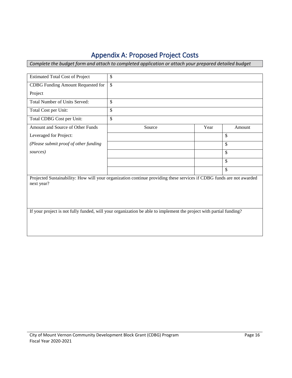# Appendix A: Proposed Project Costs

*Complete the budget form and attach to completed application or attach your prepared detailed budget* 

| <b>Estimated Total Cost of Project</b>                                                                                             | \$                       |      |        |  |  |
|------------------------------------------------------------------------------------------------------------------------------------|--------------------------|------|--------|--|--|
| CDBG Funding Amount Requested for                                                                                                  | $\overline{\mathcal{S}}$ |      |        |  |  |
| Project                                                                                                                            |                          |      |        |  |  |
| Total Number of Units Served:                                                                                                      | \$                       |      |        |  |  |
| Total Cost per Unit:                                                                                                               | \$                       |      |        |  |  |
| Total CDBG Cost per Unit:                                                                                                          | \$                       |      |        |  |  |
| Amount and Source of Other Funds                                                                                                   | Source                   | Year | Amount |  |  |
| Leveraged for Project:                                                                                                             |                          |      | \$     |  |  |
| (Please submit proof of other funding                                                                                              |                          |      | \$     |  |  |
| sources)                                                                                                                           |                          |      | \$     |  |  |
|                                                                                                                                    |                          |      | \$     |  |  |
|                                                                                                                                    |                          |      | \$     |  |  |
| Projected Sustainability: How will your organization continue providing these services if CDBG funds are not awarded<br>next year? |                          |      |        |  |  |
| If your project is not fully funded, will your organization be able to implement the project with partial funding?                 |                          |      |        |  |  |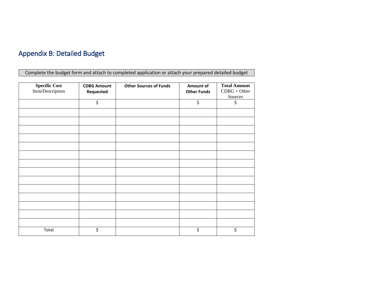# Appendix B: Detailed Budget

Complete the budget form and attach to completed application or attach your prepared detailed budget

| <b>Specific Cost</b><br>Item/Description | <b>CDBG Amount</b><br>Requested | <b>Other Sources of Funds</b> | Amount of<br><b>Other Funds</b> | <b>Total Amount</b><br>$CDBG + Other$<br>Sources |
|------------------------------------------|---------------------------------|-------------------------------|---------------------------------|--------------------------------------------------|
|                                          | \$                              |                               | \$                              | \$                                               |
|                                          |                                 |                               |                                 |                                                  |
|                                          |                                 |                               |                                 |                                                  |
|                                          |                                 |                               |                                 |                                                  |
|                                          |                                 |                               |                                 |                                                  |
|                                          |                                 |                               |                                 |                                                  |
|                                          |                                 |                               |                                 |                                                  |
|                                          |                                 |                               |                                 |                                                  |
|                                          |                                 |                               |                                 |                                                  |
|                                          |                                 |                               |                                 |                                                  |
|                                          |                                 |                               |                                 |                                                  |
|                                          |                                 |                               |                                 |                                                  |
|                                          |                                 |                               |                                 |                                                  |
|                                          |                                 |                               |                                 |                                                  |
|                                          |                                 |                               |                                 |                                                  |
| Total                                    | \$                              |                               | \$                              | \$                                               |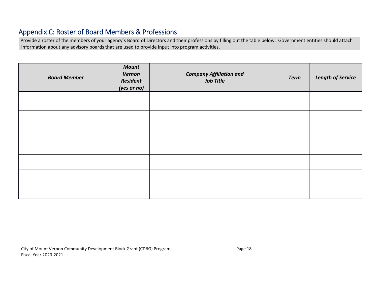### Appendix C: Roster of Board Members & Professions

Provide a roster of the members of your agency's Board of Directors and their professions by filling out the table below. Government entities should attach information about any advisory boards that are used to provide input into program activities.

| <b>Board Member</b> | <b>Mount</b><br>Vernon<br>Resident<br>(yes or no) | <b>Company Affiliation and</b><br><b>Job Title</b> | <b>Term</b> | <b>Length of Service</b> |
|---------------------|---------------------------------------------------|----------------------------------------------------|-------------|--------------------------|
|                     |                                                   |                                                    |             |                          |
|                     |                                                   |                                                    |             |                          |
|                     |                                                   |                                                    |             |                          |
|                     |                                                   |                                                    |             |                          |
|                     |                                                   |                                                    |             |                          |
|                     |                                                   |                                                    |             |                          |
|                     |                                                   |                                                    |             |                          |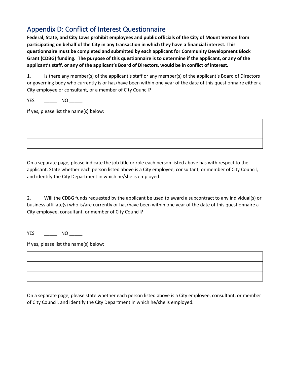## Appendix D: Conflict of Interest Questionnaire

**Federal, State, and City Laws prohibit employees and public officials of the City of Mount Vernon from participating on behalf of the City in any transaction in which they have a financial interest. This questionnaire must be completed and submitted by each applicant for Community Development Block Grant (CDBG) funding. The purpose of this questionnaire is to determine if the applicant, or any of the applicant's staff, or any of the applicant's Board of Directors, would be in conflict of interest.**

1. Is there any member(s) of the applicant's staff or any member(s) of the applicant's Board of Directors or governing body who currently is or has/have been within one year of the date of this questionnaire either a City employee or consultant, or a member of City Council?

YES \_\_\_\_\_\_\_\_ NO \_\_\_\_\_\_

If yes, please list the name(s) below:

On a separate page, please indicate the job title or role each person listed above has with respect to the applicant. State whether each person listed above is a City employee, consultant, or member of City Council, and identify the City Department in which he/she is employed.

2. Will the CDBG funds requested by the applicant be used to award a subcontract to any individual(s) or business affiliate(s) who is/are currently or has/have been within one year of the date of this questionnaire a City employee, consultant, or member of City Council?

YES \_\_\_\_\_\_\_\_\_ NO \_\_\_\_\_\_\_

If yes, please list the name(s) below:

On a separate page, please state whether each person listed above is a City employee, consultant, or member of City Council, and identify the City Department in which he/she is employed.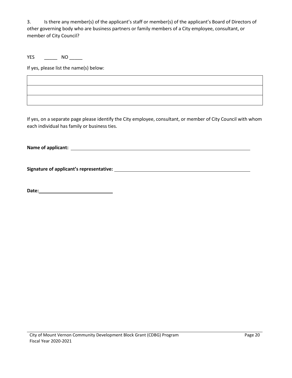3. Is there any member(s) of the applicant's staff or member(s) of the applicant's Board of Directors of other governing body who are business partners or family members of a City employee, consultant, or member of City Council?

YES \_\_\_\_\_\_\_\_\_ NO \_\_\_\_\_\_

If yes, please list the name(s) below:

If yes, on a separate page please identify the City employee, consultant, or member of City Council with whom each individual has family or business ties.

**Name of applicant:** 

**Signature of applicant's representative:** 

**Date:**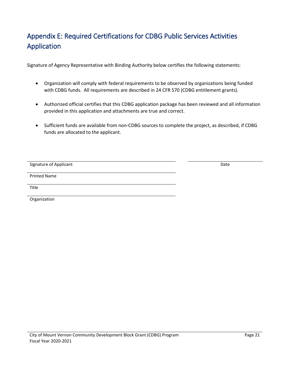# Appendix E: Required Certifications for CDBG Public Services Activities Application

Signature of Agency Representative with Binding Authority below certifies the following statements:

- Organization will comply with federal requirements to be observed by organizations being funded with CDBG funds. All requirements are described in 24 CFR 570 (CDBG entitlement grants).
- Authorized official certifies that this CDBG application package has been reviewed and all information provided in this application and attachments are true and correct.
- Sufficient funds are available from non-CDBG sources to complete the project, as described, if CDBG funds are allocated to the applicant.

Signature of Applicant **Date of Applicant** Date of Applicant Date of Applicant Date of Applicant Date of Applicant

Printed Name

Title

Organization